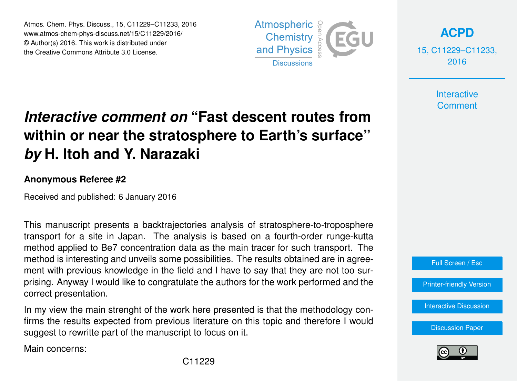Atmos. Chem. Phys. Discuss., 15, C11229–C11233, 2016 www.atmos-chem-phys-discuss.net/15/C11229/2016/ © Author(s) 2016. This work is distributed under the Creative Commons Attribute 3.0 License.



**[ACPD](http://www.atmos-chem-phys-discuss.net)**

15, C11229–C11233, 2016

> **Interactive Comment**

## *Interactive comment on* **"Fast descent routes from within or near the stratosphere to Earth's surface"** *by* **H. Itoh and Y. Narazaki**

## **Anonymous Referee #2**

Received and published: 6 January 2016

This manuscript presents a backtrajectories analysis of stratosphere-to-troposphere transport for a site in Japan. The analysis is based on a fourth-order runge-kutta method applied to Be7 concentration data as the main tracer for such transport. The method is interesting and unveils some possibilities. The results obtained are in agreement with previous knowledge in the field and I have to say that they are not too surprising. Anyway I would like to congratulate the authors for the work performed and the correct presentation.

In my view the main strenght of the work here presented is that the methodology confirms the results expected from previous literature on this topic and therefore I would suggest to rewritte part of the manuscript to focus on it.

Main concerns:



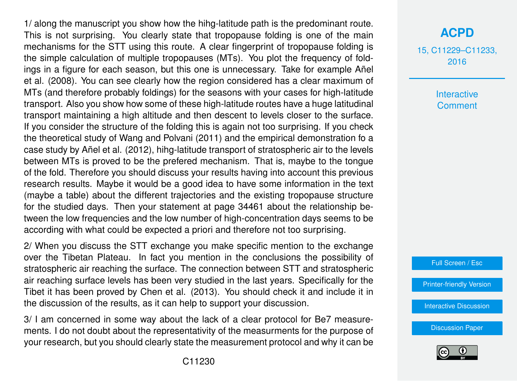1/ along the manuscript you show how the hihg-latitude path is the predominant route. This is not surprising. You clearly state that tropopause folding is one of the main mechanisms for the STT using this route. A clear fingerprint of tropopause folding is the simple calculation of multiple tropopauses (MTs). You plot the frequency of foldings in a figure for each season, but this one is unnecessary. Take for example Añel et al. (2008). You can see clearly how the region considered has a clear maximum of MTs (and therefore probably foldings) for the seasons with your cases for high-latitude transport. Also you show how some of these high-latitude routes have a huge latitudinal transport maintaining a high altitude and then descent to levels closer to the surface. If you consider the structure of the folding this is again not too surprising. If you check the theoretical study of Wang and Polvani (2011) and the empirical demonstration fo a case study by Añel et al. (2012), hihg-latitude transport of stratospheric air to the levels between MTs is proved to be the prefered mechanism. That is, maybe to the tongue of the fold. Therefore you should discuss your results having into account this previous research results. Maybe it would be a good idea to have some information in the text (maybe a table) about the different trajectories and the existing tropopause structure for the studied days. Then your statement at page 34461 about the relationship between the low frequencies and the low number of high-concentration days seems to be according with what could be expected a priori and therefore not too surprising.

2/ When you discuss the STT exchange you make specific mention to the exchange over the Tibetan Plateau. In fact you mention in the conclusions the possibility of stratospheric air reaching the surface. The connection between STT and stratospheric air reaching surface levels has been very studied in the last years. Specifically for the Tibet it has been proved by Chen et al. (2013). You should check it and include it in the discussion of the results, as it can help to support your discussion.

3/ I am concerned in some way about the lack of a clear protocol for Be7 measurements. I do not doubt about the representativity of the measurments for the purpose of your research, but you should clearly state the measurement protocol and why it can be 15, C11229–C11233, 2016

> Interactive **Comment**

Full Screen / Esc

[Printer-friendly Version](http://www.atmos-chem-phys-discuss.net/15/C11229/2016/acpd-15-C11229-2016-print.pdf)

[Interactive Discussion](http://www.atmos-chem-phys-discuss.net/15/34439/2015/acpd-15-34439-2015-discussion.html)

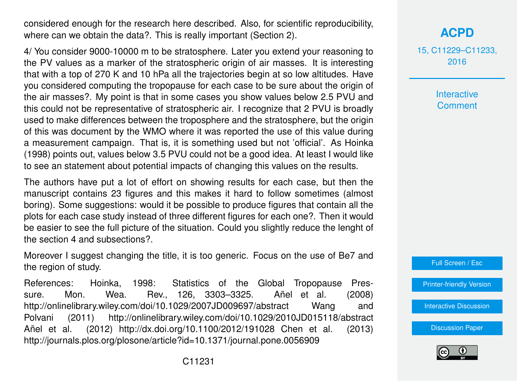considered enough for the research here described. Also, for scientific reproducibility, where can we obtain the data?. This is really important (Section 2).

4/ You consider 9000-10000 m to be stratosphere. Later you extend your reasoning to the PV values as a marker of the stratospheric origin of air masses. It is interesting that with a top of 270 K and 10 hPa all the trajectories begin at so low altitudes. Have you considered computing the tropopause for each case to be sure about the origin of the air masses?. My point is that in some cases you show values below 2.5 PVU and this could not be representative of stratospheric air. I recognize that 2 PVU is broadly used to make differences between the troposphere and the stratosphere, but the origin of this was document by the WMO where it was reported the use of this value during a measurement campaign. That is, it is something used but not 'official'. As Hoinka (1998) points out, values below 3.5 PVU could not be a good idea. At least I would like to see an statement about potential impacts of changing this values on the results.

The authors have put a lot of effort on showing results for each case, but then the manuscript contains 23 figures and this makes it hard to follow sometimes (almost boring). Some suggestions: would it be possible to produce figures that contain all the plots for each case study instead of three different figures for each one?. Then it would be easier to see the full picture of the situation. Could you slightly reduce the lenght of the section 4 and subsections?.

Moreover I suggest changing the title, it is too generic. Focus on the use of Be7 and the region of study.

References: Hoinka, 1998: Statistics of the Global Tropopause Pressure. Mon. Wea. Rev., 126, 3303–3325. Añel et al. (2008) http://onlinelibrary.wiley.com/doi/10.1029/2007JD009697/abstract Wang and Polvani (2011) http://onlinelibrary.wiley.com/doi/10.1029/2010JD015118/abstract Añel et al. (2012) http://dx.doi.org/10.1100/2012/191028 Chen et al. (2013) http://journals.plos.org/plosone/article?id=10.1371/journal.pone.0056909

15, C11229–C11233, 2016

> **Interactive Comment**

Full Screen / Esc

[Printer-friendly Version](http://www.atmos-chem-phys-discuss.net/15/C11229/2016/acpd-15-C11229-2016-print.pdf)

[Interactive Discussion](http://www.atmos-chem-phys-discuss.net/15/34439/2015/acpd-15-34439-2015-discussion.html)

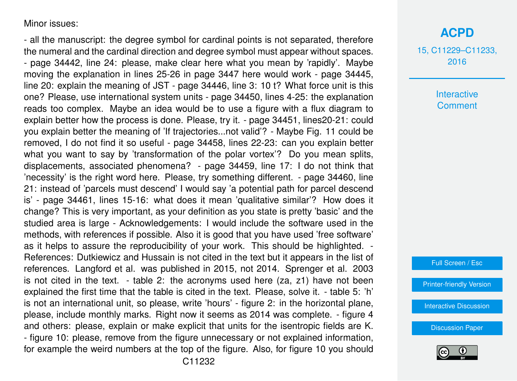Minor issues:

- all the manuscript: the degree symbol for cardinal points is not separated, therefore the numeral and the cardinal direction and degree symbol must appear without spaces. - page 34442, line 24: please, make clear here what you mean by 'rapidly'. Maybe moving the explanation in lines 25-26 in page 3447 here would work - page 34445, line 20: explain the meaning of JST - page 34446, line 3: 10 t? What force unit is this one? Please, use international system units - page 34450, lines 4-25: the explanation reads too complex. Maybe an idea would be to use a figure with a flux diagram to explain better how the process is done. Please, try it. - page 34451, lines20-21: could you explain better the meaning of 'If trajectories...not valid'? - Maybe Fig. 11 could be removed, I do not find it so useful - page 34458, lines 22-23: can you explain better what you want to say by 'transformation of the polar vortex'? Do you mean splits, displacements, associated phenomena? - page 34459, line 17: I do not think that 'necessity' is the right word here. Please, try something different. - page 34460, line 21: instead of 'parcels must descend' I would say 'a potential path for parcel descend is' - page 34461, lines 15-16: what does it mean 'qualitative similar'? How does it change? This is very important, as your definition as you state is pretty 'basic' and the studied area is large - Acknowledgements: I would include the software used in the methods, with references if possible. Also it is good that you have used 'free software' as it helps to assure the reproducibility of your work. This should be highlighted. - References: Dutkiewicz and Hussain is not cited in the text but it appears in the list of references. Langford et al. was published in 2015, not 2014. Sprenger et al. 2003 is not cited in the text. - table 2: the acronyms used here (za, z1) have not been explained the first time that the table is cited in the text. Please, solve it. - table 5: 'h' is not an international unit, so please, write 'hours' - figure 2: in the horizontal plane, please, include monthly marks. Right now it seems as 2014 was complete. - figure 4 and others: please, explain or make explicit that units for the isentropic fields are K. - figure 10: please, remove from the figure unnecessary or not explained information, for example the weird numbers at the top of the figure. Also, for figure 10 you should **[ACPD](http://www.atmos-chem-phys-discuss.net)**

15, C11229–C11233, 2016

> **Interactive Comment**

Full Screen / Esc

[Printer-friendly Version](http://www.atmos-chem-phys-discuss.net/15/C11229/2016/acpd-15-C11229-2016-print.pdf)

[Interactive Discussion](http://www.atmos-chem-phys-discuss.net/15/34439/2015/acpd-15-34439-2015-discussion.html)